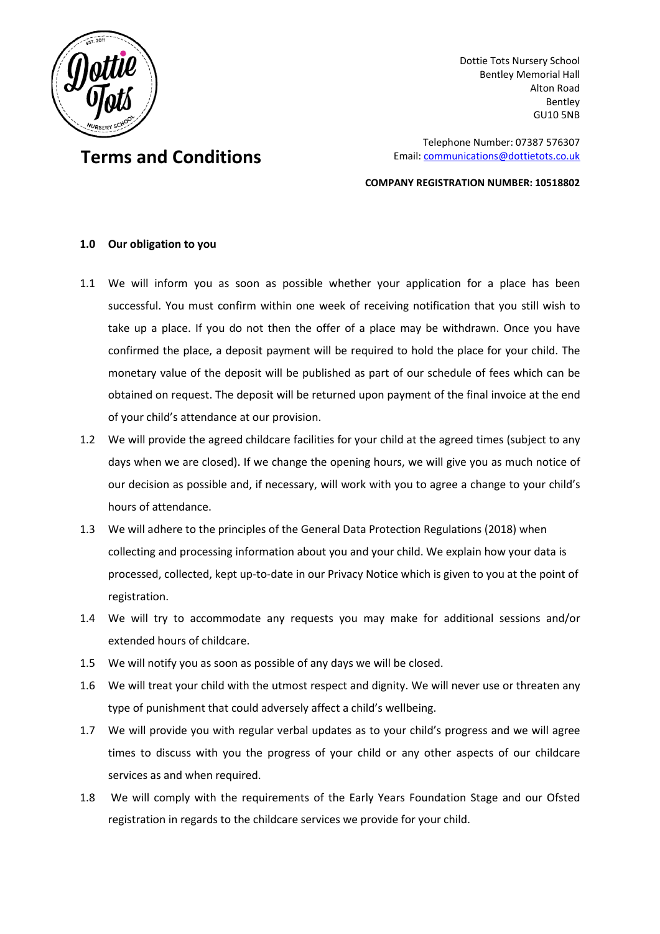

**Terms and Conditions** 

Telephone Number: 07387 576307 Email: communications@dottietots.co.uk

COMPANY REGISTRATION NUMBER: 10518802

### 1.0 Our obligation to you

- 1.1 We will inform you as soon as possible whether your application for a place has been successful. You must confirm within one week of receiving notification that you take up a place. If you do not then the offer of a place may be withdrawn. Once you have confirmed the place, a deposit payment will be required to hold the place for your child. The monetary value of the deposit will be published as part of our schedule of fees which can be obtained on request. The deposit will be returned upon payment of the final invoice at the end of your child's attendance at our provision. will inform you as soon as possible whether your application for a place has been<br>essful. You must confirm within one week of receiving notification that you still wish to<br>up a place. If you do not then the offer of a plac Bentley Memorial Hall<br>Bentley Memorial Conditions<br>and Conditions<br>and Conditions<br>and Conditions<br>and Conditions<br>and Conditions<br>and Conditions<br>and Conditions<br>and Conditions<br>and Conditions<br>and the secure of the secure of the p still wish to
- 1.2 We will provide the agreed childcare facilities for your child at the agreed times (subject to any days when we are closed). If we change the opening hours, we will give you as much notice of our decision as possible and, if necessary, will work with you to agree a change to your child's hours of attendance. obtained on request. The deposit will be returned upon payment of the final invoice at the eit of your child's attendance at our provision.<br>We will provide the agreed childcare facilities for your child at the agreed times
- 1.3 We will adhere to the principles of the General Data Protection Regulations (2018) when collecting and processing information about you and your child. We explain how your data is collecting and processing information about you and your child. We explain how your data is<br>processed, collected, kept up-to-date in our Privacy Notice which is given to you at the point of registration. ples of the General Data Protection Regula<br>formation about you and your child. We ex<br>p-to-date in our Privacy Notice which is give<br>ate any requests you may make for ac<br>extend any requests you may make for ac<br>in the utmost
- 1.4 We will try to accommodate any requests you may make for additional sessions and/or extended hours of childcare. 1.4 We will try to accommodate any requests you may make for additional sessions and/or<br>extended hours of childcare.<br>1.5 We will notify you as soon as possible of any days we will be closed.<br>1.6 We will treat your child wi
- 1.5 We will notify you as soon as possible of any days we will be closed.
- type of punishment that could adversely affect a child's wellbeing.
- 1.7 We will provide you with regular verbal updates as to your child's progress and we will agree We will provide you with regular verbal updates as to your child's progress and we will agree<br>times to discuss with you the progress of your child or any other aspects of our childcare services as and when required.
- 1.8 We will comply with the requirements of the Early Years Foundation Stage and our Ofsted registration in regards to the childcare services we provide for your child.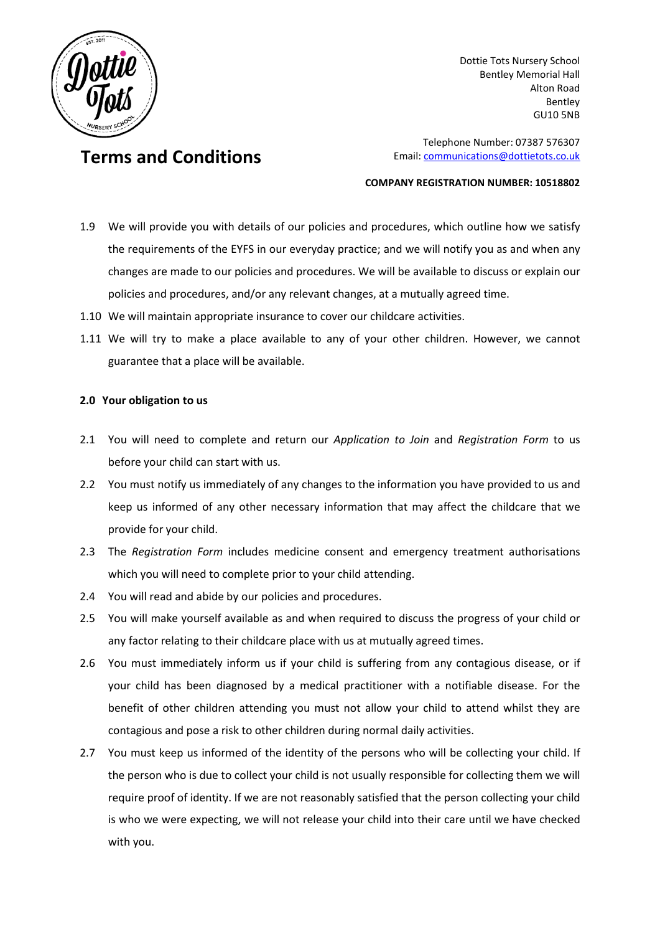

## **Terms and Conditions**

Telephone Number: 07387 576307 Email: communications@dottietots.co.uk

#### COMPANY REGISTRATION NUMBER: 10518802

- 1.9 We will provide you with details of our policies and procedures, which outline how we satisfy the requirements of the EYFS in our everyday practice; and we will notify you as and when any changes are made to our policies and procedures. We will be available to discuss or explain our policies and procedures, and/or any relevant changes, at a mutually agreed time. exequirements of the EYFS in our everyday practice; and we will notify you as and when any<br>inges are made to our policies and procedures. We will be available to discuss or explain our<br>icies and procedures, and/or any rele s of our policies and procedures, which outline how we satisfy<br>our everyday practice; and we will notify you as and when any<br>is and procedures. We will be available to discuss or explain our<br>any relevant changes, at a mutu
- 1.10 We will maintain appropriate insurance to cover our childcare activities.
- 1.11 We will try to make a place available to any of your other children. However, we cannot guarantee that a place will be available.

### 2.0 Your obligation to us

- 2.1 You will need to complete and return our Application to Join and Registration Form before your child can start with us.
- 2.2 You must notify us immediately of any changes to the information you have provided to us and keep us informed of any other necessary information that may affect the childcare that we provide for your child. child can start with us.<br>tify us immediately of any changes to the informa<br>prmed of any other necessary information that n<br>pour child.<br>ation Form includes medicine consent and emer<br>ill need to complete prior to your child
- 2.3 The Registration Form includes medicine consent and emergency treatment authorisations which you will need to complete prior to your child attending.
- 2.4 You will read and abide by our policies and procedures.
- 2.5 You will make yourself available as and when required to discuss the progress of your child or any factor relating to their childcare place with us at mutually agreed times.
- 2.6 You must immediately inform us if your child is suffering from any contagious disease, or if your child has been diagnosed by a medical practitioner with a notifiable disease. For the You will read and abide by our policies and procedures.<br>You will make yourself available as and when required to discuss the progress of your child or<br>any factor relating to their childcare place with us at mutually agreed contagious and pose a risk to other children during normal daily activities. Bentley Memorial Hall<br> **identity.** Memorial Hall the mean of all the servery of the servery than the mean of the servery than the servery than the servery than the servery than the servery than the servery than the servery
- 2.7 You must keep us informed of the identity of the persons who will be collecting your child. If the person who is due to collect your child is not usually responsible for collecting them we will require proof of identity. If we are not reasonably satisfied that the person collecting your child is who we were expecting, we will not release your child into their care until we have checked with you. ur child to attend<br>aily activities.<br>ho will be collecti<br>onsible for collecti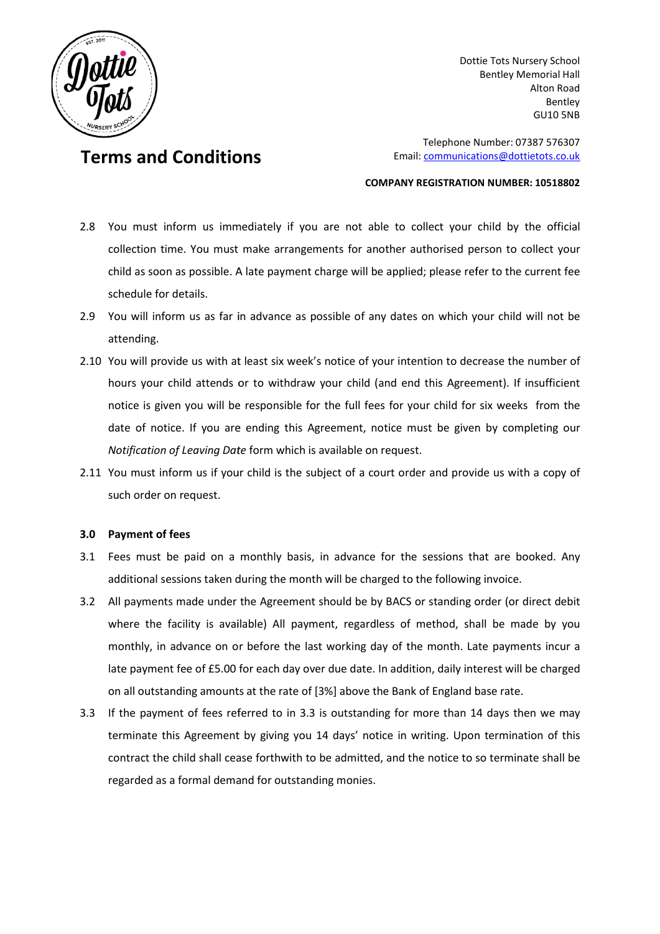

## **Terms and Conditions**

Telephone Number: 07387 576307 Email: communications@dottietots.co.uk

#### COMPANY REGISTRATION NUMBER: 10518802

- 2.8 You must inform us immediately if you are not able to collect your child by the official collection time. You must make arrangements for another authorised person to collect your child as soon as possible. A late payment charge will be applied; please refer to the current fee schedule for details. You must inform us immediately if you are not able to collect your child by the official collection time. You must make arrangements for another authorised person to collect your child as soon as possible. A late payment c
- 2.9 You will inform us as far in advance as possible of any dates on which your child will not be attending.
- 2.10 You will provide us with at least six week's notice of your intention to decrease the number of hours your child attends or to withdraw your child (and end this Agreement). If insufficient notice is given you will be responsible for the full fees for your child for six weeks from the notice is given you will be responsible for the full fees for your child for six weeks from the<br>date of notice. If you are ending this Agreement, notice must be given by completing our Notification of Leaving Date form which is available on request.
- 2.11 You must inform us if your child is the subject of a court order and provide us with a copy of such order on request. 2.11 You must inform us if your child is the subject of a court order and provide us with a copy of<br>
such order on request.<br> **3.0 Payment of fees**<br>
3.1 Fees must be paid on a monthly basis, in advance for the sessions that

### 3.0 Payment of fees

- additional sessions taken during the month will be charged to the following invoice.
- 3.2 All payments made under the Agreement should be by BACS or standing order (or direct debit additional sessions taken during the month will be charged to the following invoice.<br>All payments made under the Agreement should be by BACS or standing order (or direct debit<br>where the facility is available) All payment, monthly, in advance on or before the last working day of the month. Late payments incur a late payment fee of £5.00 for each day over due date. In addition, daily interest will be charged on all outstanding amounts at the rate of [3%] above the Bank of England base rate. thly, in advance on or before the last working day of the month. Late payme<br>payment fee of £5.00 for each day over due date. In addition, daily interest will<br>Il outstanding amounts at the rate of [3%] above the Bank of Eng Eerstey Memorial Hall and Conditions<br>
Sentley Memorial Hall Bourse is a consistent and the collect your child by the official<br>
sentley countable counter of the original CONDINGER ENDIRENT CONSIST<br>
Electron time. You must m thly basis, in advance for the sessions<br>g the month will be charged to the follow<br>Agreement should be by BACS or standin<br>) All payment, regardless of method,<br>ore the last working day of the month.<br>ach day over due date. In
- 3.3 If the payment of fees referred to in 3.3 is outstanding for more than 14 days then we may terminate this Agreement by giving you 14 days' notice in writing. Upon termination of this contract the child shall cease forthwith to be admitted, and the notice to so terminate shall be regarded as a formal demand for outstanding monies.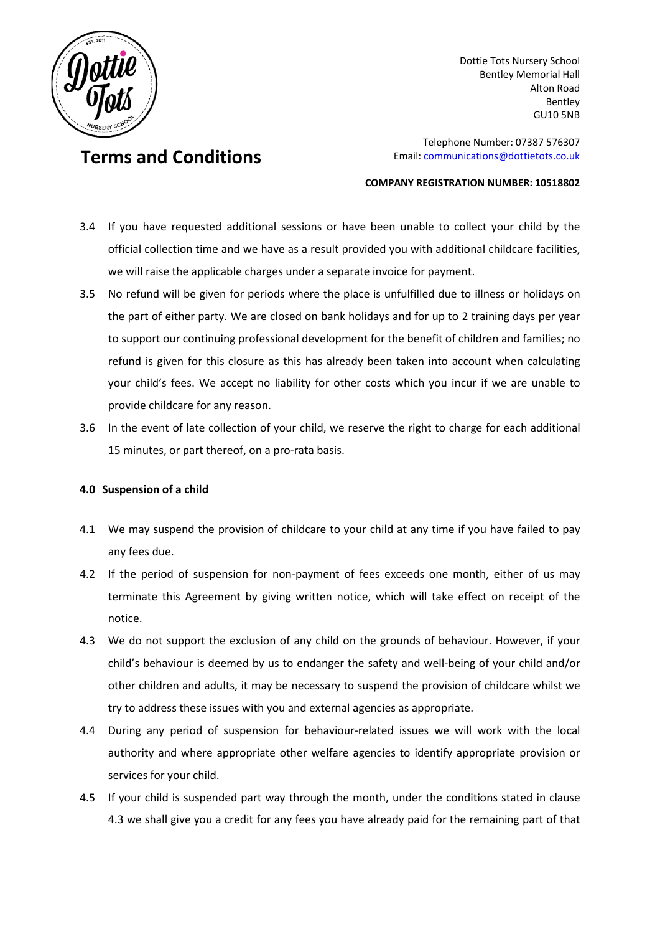

# **Terms and Conditions**

Telephone Number: 07387 576307 Email: communications@dottietots.co.uk

#### COMPANY REGISTRATION NUMBER: 10518802

- 3.4 If you have requested additional sessions or have been unable to collect your child by the If you have requested additional sessions or have been unable to collect your child by the<br>official collection time and we have as a result provided you with additional childcare facilities, we will raise the applicable charges under a separate invoice for payment.
- 3.5 No refund will be given for periods where the place is unfulfilled due to illness or holidays holidays on we will raise the applicable charges under a separate invoice for payment.<br>No refund will be given for periods where the place is unfulfilled due to illness or holidays on<br>the part of either party. We are closed on bank ho to support our continuing professional development for the benefit of children and families; no to support our continuing professional development for the benefit of children and families; no<br>refund is given for this closure as this has already been taken into account when calculating your child's fees. We accept no liability for other costs which you incur if we are unable to provide childcare for any reason. bannelism the memorial Hall Entertainmum and the memorial Hall Entertainmum and Muslim Couples of the memorial CO287 (7560) COMPANY REGISTRATION NUMBER: 1053.8802<br>
equested additional sessions or have been unable to collec
- 3.6 In the event of late collection of your child, we reserve the right to charge for each additional 15 minutes, or part thereof, on a pro-rata basis. fees. We accept no liability for other costs which you incur<br>care for any reason.<br>of late collection of your child, we reserve the right to charge<br>or part thereof, on a pro-rata basis.

### 4.0 Suspension of a child

- 4.1 We may suspend the provision of childcare to your child at any time if you have failed to pay any fees due.
- 4.2 If the period of suspension for non-payment of fees exceeds one month, either of us may terminate this Agreement by giving written notice, which will take effect on receipt of the notice. payment of fees exceeds one month, either of us may<br>written notice, which will take effect on receipt of the<br>any child on the grounds of behaviour. However, if your
- 4.3 We do not support the exclusion of any child on the grounds of behaviour. However, if child's behaviour is deemed by us to endanger the safety and well-being of your child and/or child's behaviour is deemed by us to endanger the safety and well-being of your child and/or<br>other children and adults, it may be necessary to suspend the provision of childcare whilst we try to address these issues with you and external agencies as appropriate. other children and adults, it may be necessary to suspend the provision of childcare whilst we<br>try to address these issues with you and external agencies as appropriate.<br>4.4 During any period of suspension for behaviour-re inate this Agreement by giving written notice, which will take effect on receipt of the<br>ce.<br>do not support the exclusion of any child on the grounds of behaviour. However, if your<br>1's behaviour is deemed by us to endanger
- authority and where appropriate other welfare agencies to identify appropriate provision or services for your child.
- 4.5 If your child is suspended part way through the month, under the conditions stated in clause 4.3 we shall give you a credit for any fees you have already paid for the remaining part of that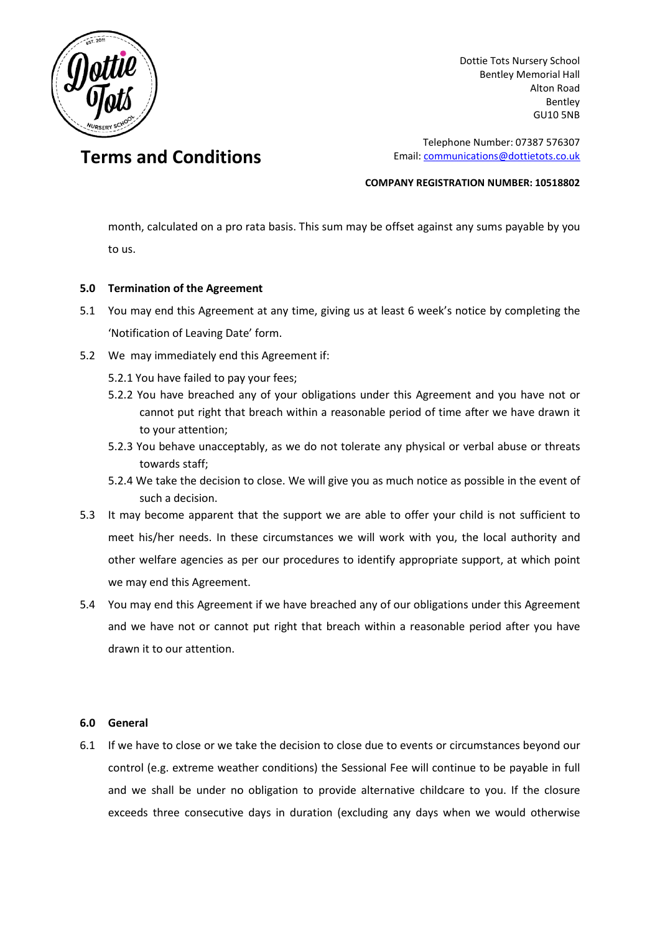

Dottie Tots Nursery School Bentley Memorial Hall Alton Road Bentley GU10 5NB

# **Terms and Conditions**

Telephone Number: 07387 576307 Email: communications@dottietots.co.uk

COMPANY REGISTRATION NUMBER: 10518802

month, calculated on a pro rata basis. This sum may be offset against any sums payable by you to us. month, calculated on a pro rata basis. This sum may be offset against any sums payable by you<br>
to us.<br>
5.0 Termination of the Agreement<br>
5.1 You may end this Agreement at any time, giving us at least 6 week's notice by com

## 5.0 Termination of the Agreement

- 'Notification of Leaving Date' form. You may end this Agreement at any time, giving us at least 6 week's notice by completing the<br>
'Notification of Leaving Date' form.<br>
We may immediately end this Agreement if:<br>5.2.1 You have failed to pay your fees;<br>5.2.2 Yo
- 5.2 We may immediately end this Agreement if:
	- 5.2.1 You have failed to pay your fees;
	- cannot put right that breach within a reasonable period of time after we have drawn it to your attention;
	- 5.2.3 You behave unacceptably, as we do not tolerate any physical or verbal abuse or threats towards staff; cannot put right that breach within a reasonable period of time after we have drawn it<br>to your attention;<br>5.2.3 You behave unacceptably, as we do not tolerate any physical or verbal abuse or threats<br>5.2.4 We take the decis
	- such a decision.
- 5.2.4 We take the decision to close. We will give you as much notice as possible in the event of<br>such a decision.<br>5.3 It may become apparent that the support we are able to offer your child is not sufficient to<br>6.1 meet hi meet his/her needs. In these circumstances we will work with you, the local authority and other welfare agencies as per our procedures to identify appropriate support, at which point we may end this Agreement.
- 5.4 You may end this Agreement if we have breached any of our obligations under this Agreement and we have not or cannot put right that breach within a reasonable period after you have drawn it to our attention. end this Agreement.<br>' end this Agreement if we have breached any of our obligations under this Agreement<br>have not or cannot put right that breach within a reasonable period after you have reach within a reasonable period after you have<br><br>close due to events or circumstances beyond our

### 6.0 General

6.1 If we have to close or we take the decision to close due to events or circumstances beyond control (e.g. extreme weather conditions) the Sessional Fee will continue to be payable in control (e.g. extreme weather conditions) the Sessional Fee will continue to be payable in full and we shall be under no obligation to provide alternative childcare to you. If the closure and we shall be under no obligation to provide alternative childcare to you. If the closure<br>exceeds three consecutive days in duration (excluding any days when we would otherwise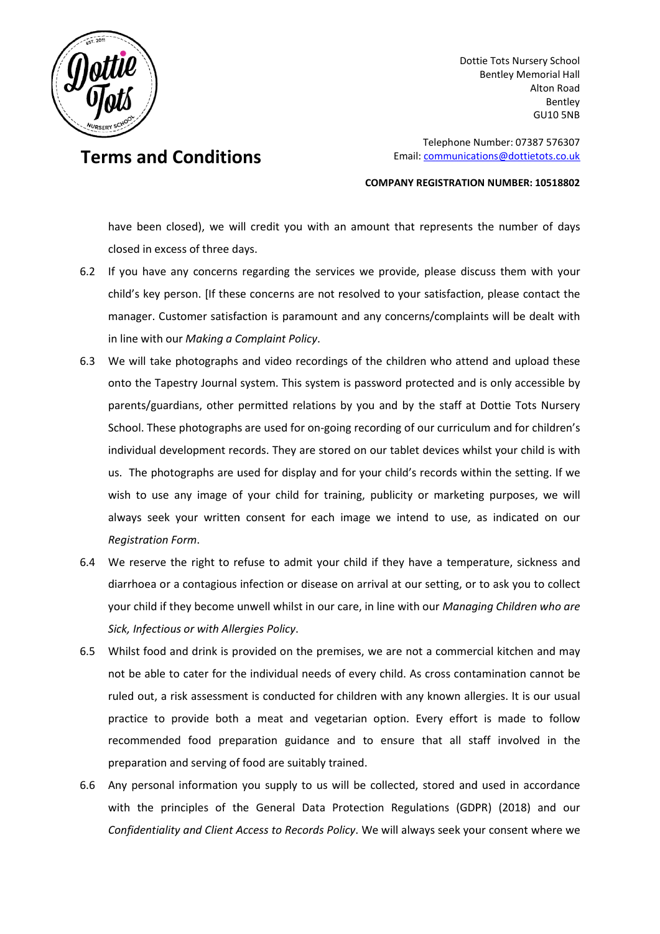

Dottie Tots Nursery School Bentley Memorial Hall Alton Road Bentley GU10 5NB

**Terms and Conditions** 

Telephone Number: 07387 576307 Email: communications@dottietots.co.uk

#### COMPANY REGISTRATION NUMBER: 10518802

have been closed), we will credit you with an amount that represents the number of days closed in excess of three days.

- 6.2 If you have any concerns regarding the services we provide, please discuss them with your child's key person. [If these concerns are not resolved to your satisfaction, please contact the manager. Customer satisfaction is paramount and any concerns/complaints will be dealt with in line with our Making a Complaint Policy. in excess of three days.<br>have any concerns regarding the services we provide, please discuss them with your<br>key person. [If these concerns are not resolved to your satisfaction, please contact the<br>er. Customer satisfaction
- 6.3 We will take photographs and video recordings of the children who attend and upload these We will take photographs and video recordings of the children who attend and upload these<br>onto the Tapestry Journal system. This system is password protected and is only accessible by parents/guardians, other permitted relations by you and by the staff at Dottie Tots Nursery parents/guardians, other permitted relations by you and by the staff at Dottie Tots Nursery<br>School. These photographs are used for on-going recording of our curriculum and for children's individual development records. They are stored on our tablet devices whilst your child is with us. The photographs are used for display and for your child's records within the setting. If we wish to use any image of your child for training, publicity or marketing purposes, we will always seek your written consent for each image we intend to use, as indicated on Registration Form. individual development records. They are stored on our tablet devices whilst your child is with<br>us. The photographs are used for display and for your child's records within the setting. If we<br>wish to use any image of your by with an amount that represents the number of days<br>the services we provide, please discuss them with your<br>are not resolved to your satisfaction, please contact the<br>ramount and any concerns/complaints will be dealt with<br>o on our
- 6.4 We reserve the right to refuse to admit your child if they have a temperature, sickness and diarrhoea or a contagious infection or disease on arrival at our setting, or to ask you to collect your child if they become unwell whilst in our care, in line with our Managing Children who are Sick, Infectious or with Allergies Policy.
- 6.5 Whilst food and drink is provided on the premises, we are not a commercial kitchen and may not be able to cater for the individual needs of every child. As cross contamination cannot be not be able to cater for the individual needs of every child. As cross contamination cannot be<br>ruled out, a risk assessment is conducted for children with any known allergies. It is our usual practice to provide both a meat and vegetarian option. Every effort is made to follow recommended food preparation guidance and to ensure that all staff involved in the preparation and serving of food are suitably trained. recommended food preparation guidance and to ensure that all staff involved in the<br>preparation and serving of food are suitably trained.<br>6.6 Any personal information you supply to us will be collected, stored and used in a
- Any personal information you supply to us will be collected, stored and used in accordance<br>with the principles of the General Data Protection Regulations (GDPR) (2018) and our with the principles of the General Data Protection Regulations (GDPR) (2018) and our<br>Confidentiality and Client Access to Records Policy. We will always seek your consent where we